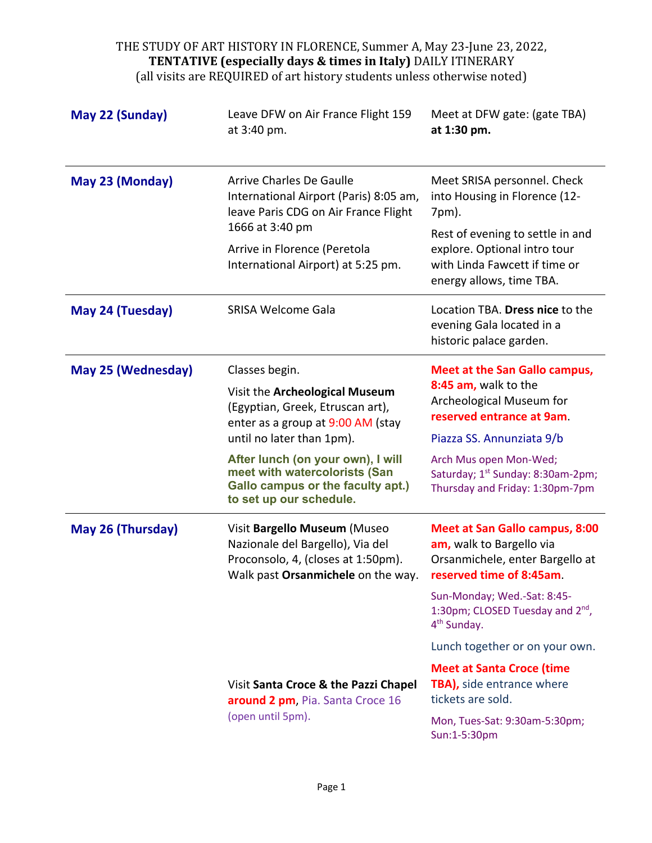| May 22 (Sunday)    | Leave DFW on Air France Flight 159<br>at 3:40 pm.                                                                                                                                                                                                                                            | Meet at DFW gate: (gate TBA)<br>at 1:30 pm.                                                                                                                                                                                                                                                                                                   |
|--------------------|----------------------------------------------------------------------------------------------------------------------------------------------------------------------------------------------------------------------------------------------------------------------------------------------|-----------------------------------------------------------------------------------------------------------------------------------------------------------------------------------------------------------------------------------------------------------------------------------------------------------------------------------------------|
| May 23 (Monday)    | <b>Arrive Charles De Gaulle</b><br>International Airport (Paris) 8:05 am,<br>leave Paris CDG on Air France Flight<br>1666 at 3:40 pm<br>Arrive in Florence (Peretola<br>International Airport) at 5:25 pm.                                                                                   | Meet SRISA personnel. Check<br>into Housing in Florence (12-<br>7pm).<br>Rest of evening to settle in and<br>explore. Optional intro tour<br>with Linda Fawcett if time or<br>energy allows, time TBA.                                                                                                                                        |
| May 24 (Tuesday)   | <b>SRISA Welcome Gala</b>                                                                                                                                                                                                                                                                    | Location TBA. Dress nice to the<br>evening Gala located in a<br>historic palace garden.                                                                                                                                                                                                                                                       |
| May 25 (Wednesday) | Classes begin.<br>Visit the Archeological Museum<br>(Egyptian, Greek, Etruscan art),<br>enter as a group at 9:00 AM (stay<br>until no later than 1pm).<br>After lunch (on your own), I will<br>meet with watercolorists (San<br>Gallo campus or the faculty apt.)<br>to set up our schedule. | <b>Meet at the San Gallo campus,</b><br>8:45 am, walk to the<br>Archeological Museum for<br>reserved entrance at 9am.<br>Piazza SS. Annunziata 9/b<br>Arch Mus open Mon-Wed;<br>Saturday; 1 <sup>st</sup> Sunday: 8:30am-2pm;<br>Thursday and Friday: 1:30pm-7pm                                                                              |
| May 26 (Thursday)  | Visit Bargello Museum (Museo<br>Nazionale del Bargello), Via del<br>Proconsolo, 4, (closes at 1:50pm).<br>Walk past Orsanmichele on the way.<br>Visit Santa Croce & the Pazzi Chapel                                                                                                         | <b>Meet at San Gallo campus, 8:00</b><br>am, walk to Bargello via<br>Orsanmichele, enter Bargello at<br>reserved time of 8:45am.<br>Sun-Monday; Wed.-Sat: 8:45-<br>1:30pm; CLOSED Tuesday and 2 <sup>nd</sup> ,<br>4 <sup>th</sup> Sunday.<br>Lunch together or on your own.<br><b>Meet at Santa Croce (time</b><br>TBA), side entrance where |
|                    | around 2 pm, Pia. Santa Croce 16<br>(open until 5pm).                                                                                                                                                                                                                                        | tickets are sold.<br>Mon, Tues-Sat: 9:30am-5:30pm;<br>Sun:1-5:30pm                                                                                                                                                                                                                                                                            |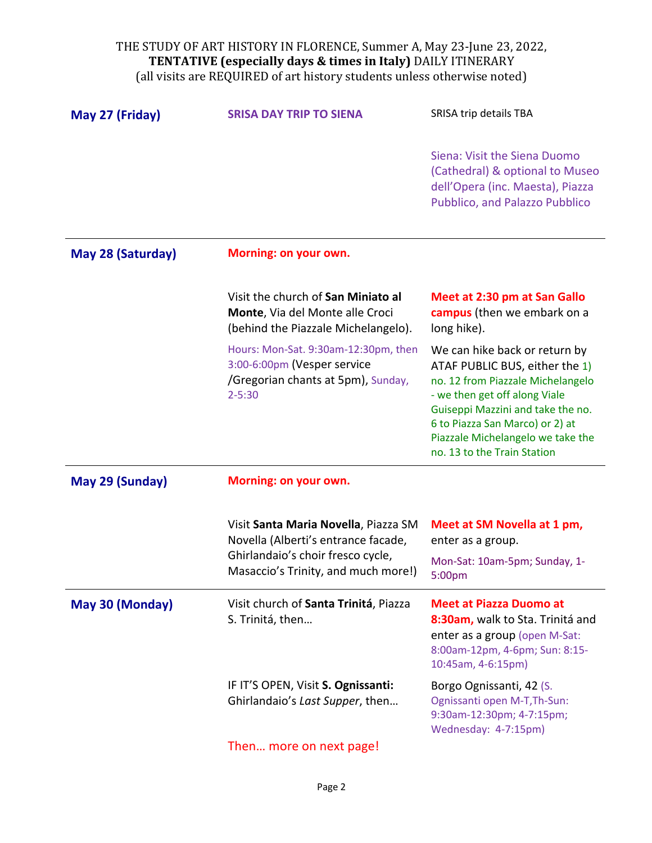| May 27 (Friday)   | <b>SRISA DAY TRIP TO SIENA</b>                                                                                                                          | SRISA trip details TBA                                                                                                                                                                                                                                                            |
|-------------------|---------------------------------------------------------------------------------------------------------------------------------------------------------|-----------------------------------------------------------------------------------------------------------------------------------------------------------------------------------------------------------------------------------------------------------------------------------|
|                   |                                                                                                                                                         | Siena: Visit the Siena Duomo<br>(Cathedral) & optional to Museo<br>dell'Opera (inc. Maesta), Piazza<br>Pubblico, and Palazzo Pubblico                                                                                                                                             |
| May 28 (Saturday) | Morning: on your own.                                                                                                                                   |                                                                                                                                                                                                                                                                                   |
|                   | Visit the church of San Miniato al<br>Monte, Via del Monte alle Croci<br>(behind the Piazzale Michelangelo).                                            | Meet at 2:30 pm at San Gallo<br>campus (then we embark on a<br>long hike).                                                                                                                                                                                                        |
|                   | Hours: Mon-Sat. 9:30am-12:30pm, then<br>3:00-6:00pm (Vesper service<br>/Gregorian chants at 5pm), Sunday,<br>$2 - 5:30$                                 | We can hike back or return by<br>ATAF PUBLIC BUS, either the 1)<br>no. 12 from Piazzale Michelangelo<br>- we then get off along Viale<br>Guiseppi Mazzini and take the no.<br>6 to Piazza San Marco) or 2) at<br>Piazzale Michelangelo we take the<br>no. 13 to the Train Station |
| May 29 (Sunday)   | Morning: on your own.                                                                                                                                   |                                                                                                                                                                                                                                                                                   |
|                   | Visit Santa Maria Novella, Piazza SM<br>Novella (Alberti's entrance facade,<br>Ghirlandaio's choir fresco cycle,<br>Masaccio's Trinity, and much more!) | Meet at SM Novella at 1 pm,<br>enter as a group.<br>Mon-Sat: 10am-5pm; Sunday, 1-<br>5:00pm                                                                                                                                                                                       |
| May 30 (Monday)   | Visit church of Santa Trinitá, Piazza<br>S. Trinitá, then                                                                                               | <b>Meet at Piazza Duomo at</b><br>8:30am, walk to Sta. Trinitá and<br>enter as a group (open M-Sat:<br>8:00am-12pm, 4-6pm; Sun: 8:15-<br>10:45am, 4-6:15pm)                                                                                                                       |
|                   | IF IT'S OPEN, Visit S. Ognissanti:<br>Ghirlandaio's Last Supper, then                                                                                   | Borgo Ognissanti, 42 (S.<br>Ognissanti open M-T, Th-Sun:<br>9:30am-12:30pm; 4-7:15pm;<br>Wednesday: 4-7:15pm)                                                                                                                                                                     |
|                   | Then more on next page!                                                                                                                                 |                                                                                                                                                                                                                                                                                   |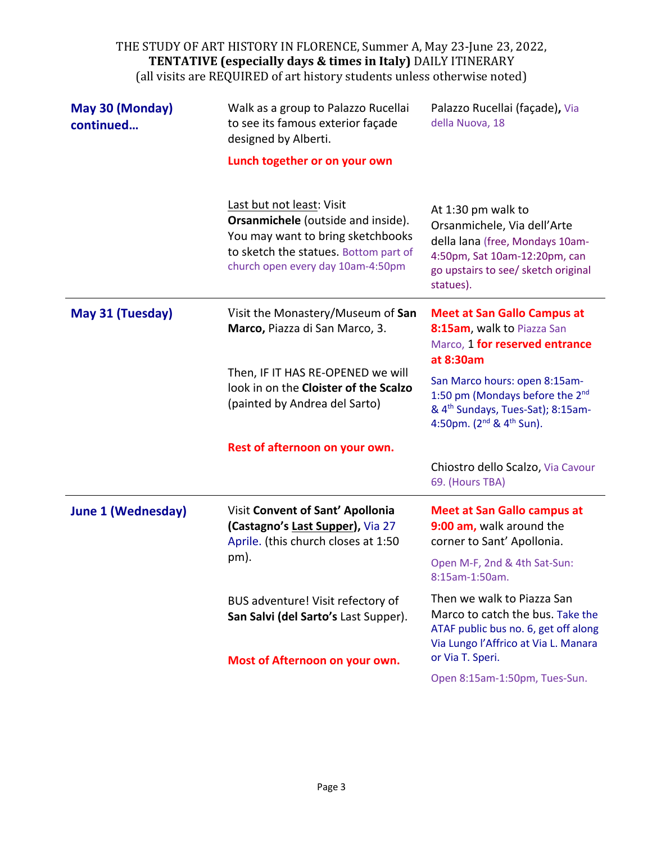| May 30 (Monday)<br>continued | Walk as a group to Palazzo Rucellai<br>to see its famous exterior façade<br>designed by Alberti.<br>Lunch together or on your own                                                  | Palazzo Rucellai (façade), Via<br>della Nuova, 18                                                                                                                          |
|------------------------------|------------------------------------------------------------------------------------------------------------------------------------------------------------------------------------|----------------------------------------------------------------------------------------------------------------------------------------------------------------------------|
|                              | Last but not least: Visit<br>Orsanmichele (outside and inside).<br>You may want to bring sketchbooks<br>to sketch the statues. Bottom part of<br>church open every day 10am-4:50pm | At 1:30 pm walk to<br>Orsanmichele, Via dell'Arte<br>della lana (free, Mondays 10am-<br>4:50pm, Sat 10am-12:20pm, can<br>go upstairs to see/ sketch original<br>statues).  |
| May 31 (Tuesday)             | Visit the Monastery/Museum of San<br>Marco, Piazza di San Marco, 3.                                                                                                                | <b>Meet at San Gallo Campus at</b><br>8:15am, walk to Piazza San<br>Marco, 1 for reserved entrance<br>at 8:30am                                                            |
|                              | Then, IF IT HAS RE-OPENED we will<br>look in on the Cloister of the Scalzo<br>(painted by Andrea del Sarto)                                                                        | San Marco hours: open 8:15am-<br>1:50 pm (Mondays before the 2 <sup>nd</sup><br>& 4 <sup>th</sup> Sundays, Tues-Sat); 8:15am-<br>4:50pm. $(2^{nd}$ & 4 <sup>th</sup> Sun). |
|                              | Rest of afternoon on your own.                                                                                                                                                     |                                                                                                                                                                            |
|                              |                                                                                                                                                                                    | Chiostro dello Scalzo, Via Cavour<br>69. (Hours TBA)                                                                                                                       |
| <b>June 1 (Wednesday)</b>    | Visit Convent of Sant' Apollonia<br>(Castagno's Last Supper), Via 27<br>Aprile. (this church closes at 1:50                                                                        | <b>Meet at San Gallo campus at</b><br>9:00 am, walk around the<br>corner to Sant' Apollonia.                                                                               |
|                              | pm).                                                                                                                                                                               | Open M-F, 2nd & 4th Sat-Sun:<br>8:15am-1:50am.                                                                                                                             |
|                              | BUS adventure! Visit refectory of<br>San Salvi (del Sarto's Last Supper).<br>Most of Afternoon on your own.                                                                        | Then we walk to Piazza San<br>Marco to catch the bus. Take the<br>ATAF public bus no. 6, get off along<br>Via Lungo l'Affrico at Via L. Manara<br>or Via T. Speri.         |
|                              |                                                                                                                                                                                    | Open 8:15am-1:50pm, Tues-Sun.                                                                                                                                              |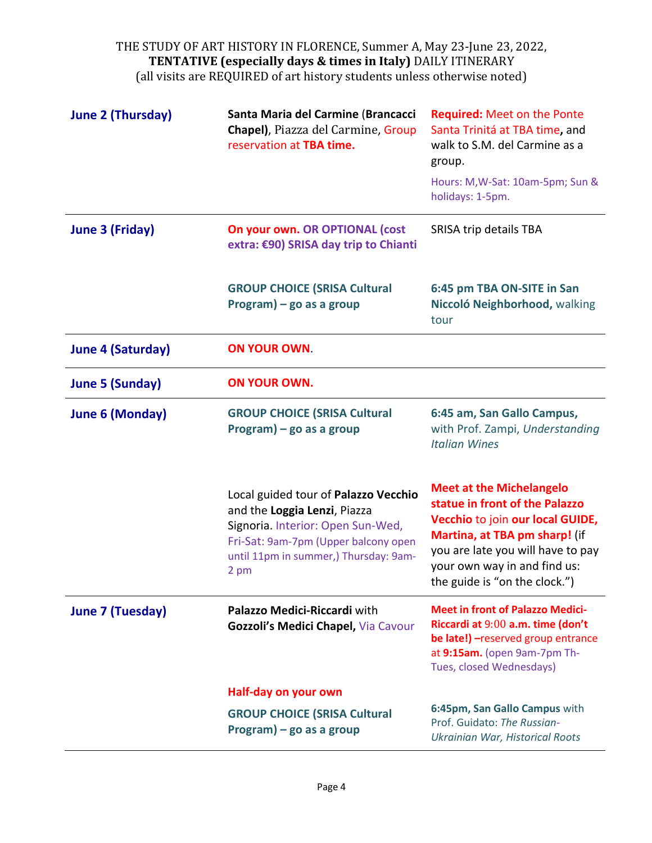| <b>June 2 (Thursday)</b> | Santa Maria del Carmine (Brancacci<br>Chapel), Piazza del Carmine, Group<br>reservation at TBA time.                                                                                               | <b>Required: Meet on the Ponte</b><br>Santa Trinitá at TBA time, and<br>walk to S.M. del Carmine as a<br>group.<br>Hours: M, W-Sat: 10am-5pm; Sun &                                                                                          |
|--------------------------|----------------------------------------------------------------------------------------------------------------------------------------------------------------------------------------------------|----------------------------------------------------------------------------------------------------------------------------------------------------------------------------------------------------------------------------------------------|
|                          |                                                                                                                                                                                                    | holidays: 1-5pm.                                                                                                                                                                                                                             |
| <b>June 3 (Friday)</b>   | On your own. OR OPTIONAL (cost<br>extra: €90) SRISA day trip to Chianti                                                                                                                            | SRISA trip details TBA                                                                                                                                                                                                                       |
|                          | <b>GROUP CHOICE (SRISA Cultural</b><br>$Program$ ) – go as a group                                                                                                                                 | 6:45 pm TBA ON-SITE in San<br>Niccoló Neighborhood, walking<br>tour                                                                                                                                                                          |
| <b>June 4 (Saturday)</b> | <b>ON YOUR OWN.</b>                                                                                                                                                                                |                                                                                                                                                                                                                                              |
| <b>June 5 (Sunday)</b>   | <b>ON YOUR OWN.</b>                                                                                                                                                                                |                                                                                                                                                                                                                                              |
| <b>June 6 (Monday)</b>   | <b>GROUP CHOICE (SRISA Cultural</b><br>Program) - go as a group                                                                                                                                    | 6:45 am, San Gallo Campus,<br>with Prof. Zampi, Understanding<br><b>Italian Wines</b>                                                                                                                                                        |
|                          | Local guided tour of Palazzo Vecchio<br>and the Loggia Lenzi, Piazza<br>Signoria. Interior: Open Sun-Wed,<br>Fri-Sat: 9am-7pm (Upper balcony open<br>until 11pm in summer,) Thursday: 9am-<br>2 pm | <b>Meet at the Michelangelo</b><br>statue in front of the Palazzo<br>Vecchio to join our local GUIDE,<br>Martina, at TBA pm sharp! (if<br>you are late you will have to pay<br>your own way in and find us:<br>the guide is "on the clock.") |
| <b>June 7 (Tuesday)</b>  | Palazzo Medici-Riccardi with<br>Gozzoli's Medici Chapel, Via Cavour                                                                                                                                | <b>Meet in front of Palazzo Medici-</b><br>Riccardi at 9:00 a.m. time (don't<br>be late!) - reserved group entrance<br>at 9:15am. (open 9am-7pm Th-<br>Tues, closed Wednesdays)                                                              |
|                          | Half-day on your own                                                                                                                                                                               |                                                                                                                                                                                                                                              |
|                          | <b>GROUP CHOICE (SRISA Cultural</b><br>$Program$ ) – go as a group                                                                                                                                 | 6:45pm, San Gallo Campus with<br>Prof. Guidato: The Russian-<br>Ukrainian War, Historical Roots                                                                                                                                              |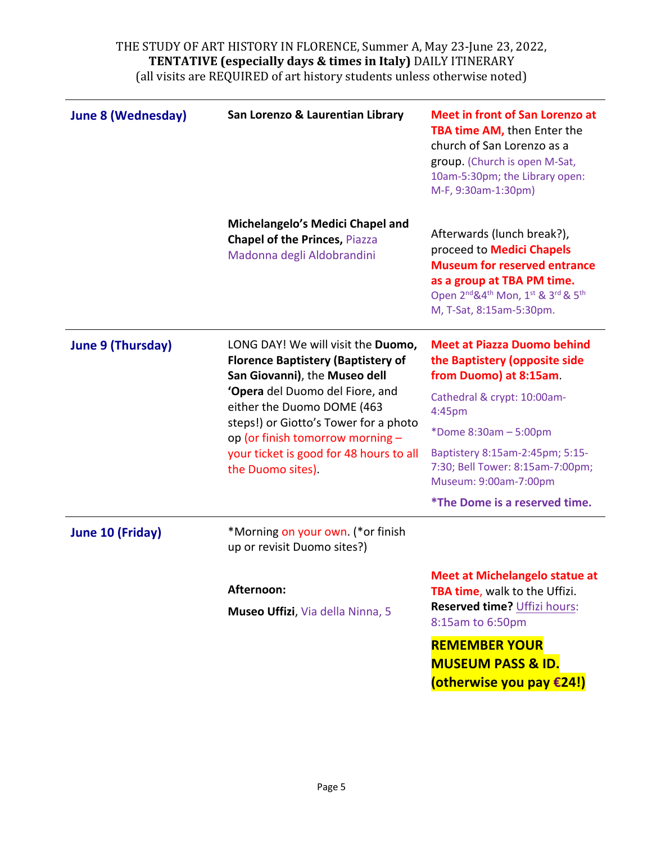| <b>June 8 (Wednesday)</b> | San Lorenzo & Laurentian Library                                                                                                                                                                                                                                                                                               | <b>Meet in front of San Lorenzo at</b><br><b>TBA time AM, then Enter the</b><br>church of San Lorenzo as a<br>group. (Church is open M-Sat,<br>10am-5:30pm; the Library open:<br>M-F, 9:30am-1:30pm)                                                               |
|---------------------------|--------------------------------------------------------------------------------------------------------------------------------------------------------------------------------------------------------------------------------------------------------------------------------------------------------------------------------|--------------------------------------------------------------------------------------------------------------------------------------------------------------------------------------------------------------------------------------------------------------------|
|                           | Michelangelo's Medici Chapel and<br><b>Chapel of the Princes, Piazza</b><br>Madonna degli Aldobrandini                                                                                                                                                                                                                         | Afterwards (lunch break?),<br>proceed to <b>Medici Chapels</b><br><b>Museum for reserved entrance</b><br>as a group at TBA PM time.<br>Open 2 <sup>nd</sup> & 4 <sup>th</sup> Mon, 1 <sup>st</sup> & 3 <sup>rd</sup> & 5 <sup>th</sup><br>M, T-Sat, 8:15am-5:30pm. |
| <b>June 9 (Thursday)</b>  | LONG DAY! We will visit the Duomo,<br><b>Florence Baptistery (Baptistery of</b><br>San Giovanni), the Museo dell<br>'Opera del Duomo del Fiore, and<br>either the Duomo DOME (463<br>steps!) or Giotto's Tower for a photo<br>op (or finish tomorrow morning -<br>your ticket is good for 48 hours to all<br>the Duomo sites). | <b>Meet at Piazza Duomo behind</b><br>the Baptistery (opposite side<br>from Duomo) at 8:15am.<br>Cathedral & crypt: 10:00am-<br>4:45pm                                                                                                                             |
|                           |                                                                                                                                                                                                                                                                                                                                | *Dome 8:30am - 5:00pm<br>Baptistery 8:15am-2:45pm; 5:15-<br>7:30; Bell Tower: 8:15am-7:00pm;<br>Museum: 9:00am-7:00pm                                                                                                                                              |
| June 10 (Friday)          | *Morning on your own. (*or finish<br>up or revisit Duomo sites?)                                                                                                                                                                                                                                                               | <i>*The Dome is a reserved time.</i>                                                                                                                                                                                                                               |
|                           | Afternoon:<br>Museo Uffizi, Via della Ninna, 5                                                                                                                                                                                                                                                                                 | Meet at Michelangelo statue at<br>TBA time, walk to the Uffizi.<br>Reserved time? Uffizi hours:<br>8:15am to 6:50pm                                                                                                                                                |
|                           |                                                                                                                                                                                                                                                                                                                                | <b>REMEMBER YOUR</b><br><b>MUSEUM PASS &amp; ID.</b><br>(otherwise you pay €24!)                                                                                                                                                                                   |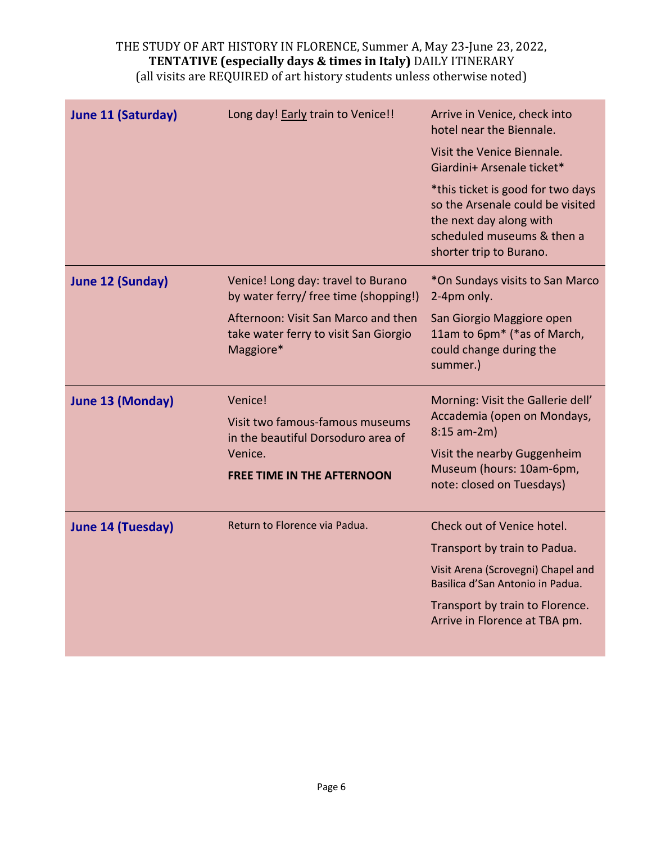| <b>June 11 (Saturday)</b> | Long day! Early train to Venice!!                                                         | Arrive in Venice, check into<br>hotel near the Biennale.<br>Visit the Venice Biennale.<br>Giardini+ Arsenale ticket*<br>*this ticket is good for two days<br>so the Arsenale could be visited<br>the next day along with<br>scheduled museums & then a<br>shorter trip to Burano. |
|---------------------------|-------------------------------------------------------------------------------------------|-----------------------------------------------------------------------------------------------------------------------------------------------------------------------------------------------------------------------------------------------------------------------------------|
| <b>June 12 (Sunday)</b>   | Venice! Long day: travel to Burano<br>by water ferry/ free time (shopping!)               | *On Sundays visits to San Marco<br>2-4pm only.                                                                                                                                                                                                                                    |
|                           | Afternoon: Visit San Marco and then<br>take water ferry to visit San Giorgio<br>Maggiore* | San Giorgio Maggiore open<br>11am to 6pm* (*as of March,<br>could change during the<br>summer.)                                                                                                                                                                                   |
| <b>June 13 (Monday)</b>   | Venice!<br>Visit two famous-famous museums<br>in the beautiful Dorsoduro area of          | Morning: Visit the Gallerie dell'<br>Accademia (open on Mondays,<br>$8:15$ am-2m)                                                                                                                                                                                                 |
|                           | Venice.                                                                                   | Visit the nearby Guggenheim                                                                                                                                                                                                                                                       |
|                           | <b>FREE TIME IN THE AFTERNOON</b>                                                         | Museum (hours: 10am-6pm,<br>note: closed on Tuesdays)                                                                                                                                                                                                                             |
| <b>June 14 (Tuesday)</b>  | Return to Florence via Padua.                                                             | Check out of Venice hotel.                                                                                                                                                                                                                                                        |
|                           |                                                                                           | Transport by train to Padua.                                                                                                                                                                                                                                                      |
|                           |                                                                                           | Visit Arena (Scrovegni) Chapel and<br>Basilica d'San Antonio in Padua.                                                                                                                                                                                                            |
|                           |                                                                                           | Transport by train to Florence.<br>Arrive in Florence at TBA pm.                                                                                                                                                                                                                  |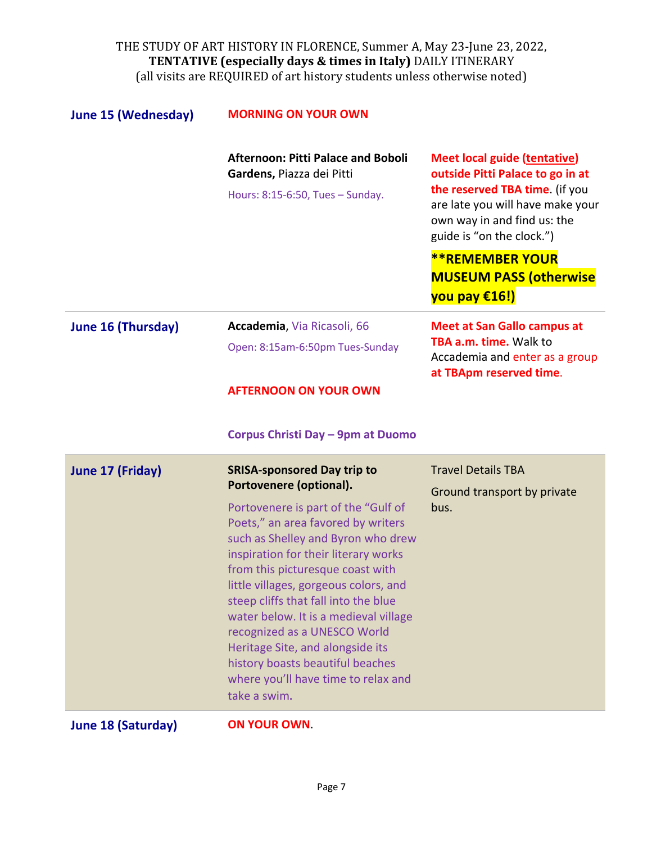| <b>June 15 (Wednesday)</b> | <b>MORNING ON YOUR OWN</b>                                                                                                                                                                                                                                                                                                                                                                                                                                                           |                                                                                                                                                                                                           |
|----------------------------|--------------------------------------------------------------------------------------------------------------------------------------------------------------------------------------------------------------------------------------------------------------------------------------------------------------------------------------------------------------------------------------------------------------------------------------------------------------------------------------|-----------------------------------------------------------------------------------------------------------------------------------------------------------------------------------------------------------|
|                            | <b>Afternoon: Pitti Palace and Boboli</b><br>Gardens, Piazza dei Pitti                                                                                                                                                                                                                                                                                                                                                                                                               | <b>Meet local guide (tentative)</b><br>outside Pitti Palace to go in at<br>the reserved TBA time. (if you<br>are late you will have make your<br>own way in and find us: the<br>guide is "on the clock.") |
|                            | Hours: 8:15-6:50, Tues - Sunday.                                                                                                                                                                                                                                                                                                                                                                                                                                                     |                                                                                                                                                                                                           |
|                            |                                                                                                                                                                                                                                                                                                                                                                                                                                                                                      | <b>**REMEMBER YOUR</b><br><b>MUSEUM PASS (otherwise</b><br>you pay €16!)                                                                                                                                  |
| <b>June 16 (Thursday)</b>  | Accademia, Via Ricasoli, 66                                                                                                                                                                                                                                                                                                                                                                                                                                                          | <b>Meet at San Gallo campus at</b>                                                                                                                                                                        |
|                            | Open: 8:15am-6:50pm Tues-Sunday                                                                                                                                                                                                                                                                                                                                                                                                                                                      | TBA a.m. time. Walk to<br>Accademia and enter as a group<br>at TBApm reserved time.                                                                                                                       |
|                            | <b>AFTERNOON ON YOUR OWN</b>                                                                                                                                                                                                                                                                                                                                                                                                                                                         |                                                                                                                                                                                                           |
|                            | Corpus Christi Day - 9pm at Duomo                                                                                                                                                                                                                                                                                                                                                                                                                                                    |                                                                                                                                                                                                           |
| <b>June 17 (Friday)</b>    | <b>SRISA-sponsored Day trip to</b><br>Portovenere (optional).                                                                                                                                                                                                                                                                                                                                                                                                                        | <b>Travel Details TBA</b><br>Ground transport by private                                                                                                                                                  |
|                            | Portovenere is part of the "Gulf of<br>Poets," an area favored by writers<br>such as Shelley and Byron who drew<br>inspiration for their literary works<br>from this picturesque coast with<br>little villages, gorgeous colors, and<br>steep cliffs that fall into the blue<br>water below. It is a medieval village<br>recognized as a UNESCO World<br>Heritage Site, and alongside its<br>history boasts beautiful beaches<br>where you'll have time to relax and<br>take a swim. | bus.                                                                                                                                                                                                      |
|                            |                                                                                                                                                                                                                                                                                                                                                                                                                                                                                      |                                                                                                                                                                                                           |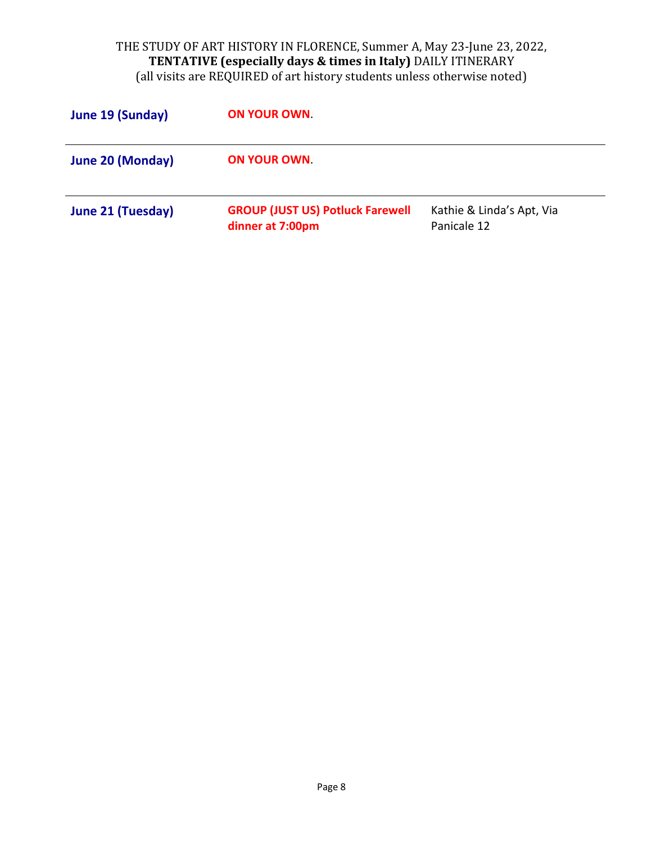| June 19 (Sunday)  | <b>ON YOUR OWN</b>                                          |                                          |
|-------------------|-------------------------------------------------------------|------------------------------------------|
| June 20 (Monday)  | <b>ON YOUR OWN</b>                                          |                                          |
| June 21 (Tuesday) | <b>GROUP (JUST US) Potluck Farewell</b><br>dinner at 7:00pm | Kathie & Linda's Apt, Via<br>Panicale 12 |